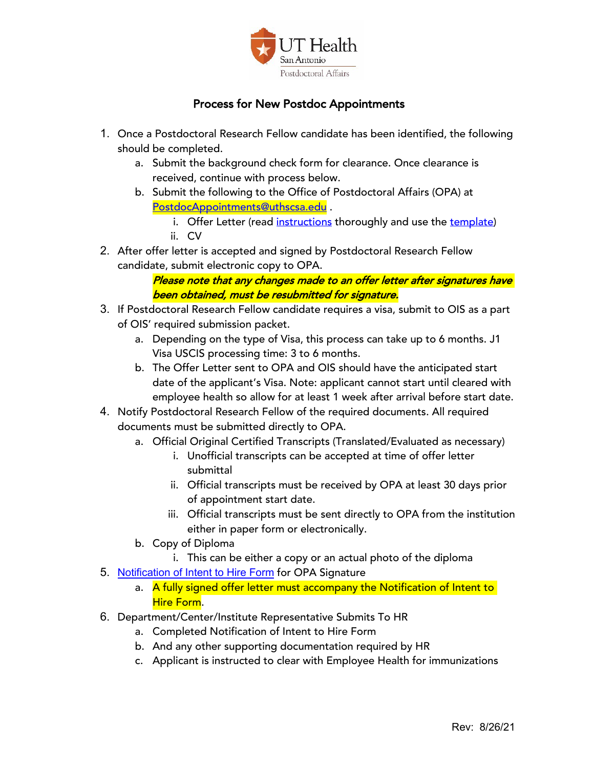

## Process for New Postdoc Appointments

- 1. Once a Postdoctoral Research Fellow candidate has been identified, the following should be completed.
	- a. Submit the background check form for clearance. Once clearance is received, continue with process below.
	- b. Submit the following to the Office of Postdoctoral Affairs (OPA) at PostdocAppointments@uthscsa.edu .
		- i. Offer Letter (read instructions thoroughly and use the template) ii. CV
- 2. After offer letter is accepted and signed by Postdoctoral Research Fellow candidate, submit electronic copy to OPA.

## Please note that any changes made to an offer letter after signatures have been obtained, must be resubmitted for signature.

- 3. If Postdoctoral Research Fellow candidate requires a visa, submit to OIS as a part of OIS' required submission packet.
	- a. Depending on the type of Visa, this process can take up to 6 months. J1 Visa USCIS processing time: 3 to 6 months.
	- b. The Offer Letter sent to OPA and OIS should have the anticipated start date of the applicant's Visa. Note: applicant cannot start until cleared with employee health so allow for at least 1 week after arrival before start date.
- 4. Notify Postdoctoral Research Fellow of the required documents. All required documents must be submitted directly to OPA.
	- a. Official Original Certified Transcripts (Translated/Evaluated as necessary)
		- i. Unofficial transcripts can be accepted at time of offer letter submittal
		- ii. Official transcripts must be received by OPA at least 30 days prior of appointment start date.
		- iii. Official transcripts must be sent directly to OPA from the institution either in paper form or electronically.
	- b. Copy of Diploma
		- i. This can be either a copy or an actual photo of the diploma
- 5. Notification of Intent to Hire Form for OPA Signature
	- a. A fully signed offer letter must accompany the Notification of Intent to Hire Form.
- 6. Department/Center/Institute Representative Submits To HR
	- a. Completed Notification of Intent to Hire Form
	- b. And any other supporting documentation required by HR
	- c. Applicant is instructed to clear with Employee Health for immunizations